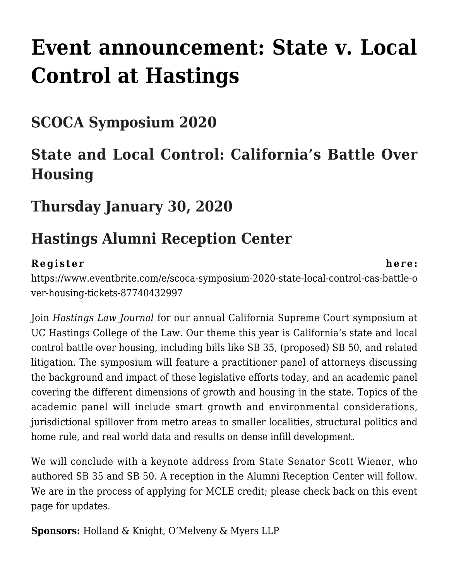# **[Event announcement: State v. Local](https://scocablog.com/event-announcement-state-v-local-control-at-hastings/) [Control at Hastings](https://scocablog.com/event-announcement-state-v-local-control-at-hastings/)**

### **SCOCA Symposium 2020**

## **State and Local Control: California's Battle Over Housing**

#### **Thursday January 30, 2020**

### **Hastings Alumni Reception Center**

#### **Register here:**

[https://www.eventbrite.com/e/scoca-symposium-2020-state-local-control-cas-battle-o](https://www.eventbrite.com/e/scoca-symposium-2020-state-local-control-cas-battle-over-housing-tickets-87740432997) [ver-housing-tickets-87740432997](https://www.eventbrite.com/e/scoca-symposium-2020-state-local-control-cas-battle-over-housing-tickets-87740432997)

Join *Hastings Law Journal* for our annual California Supreme Court symposium at UC Hastings College of the Law. Our theme this year is California's state and local control battle over housing, including bills like SB 35, (proposed) SB 50, and related litigation. The symposium will feature a practitioner panel of attorneys discussing the background and impact of these legislative efforts today, and an academic panel covering the different dimensions of growth and housing in the state. Topics of the academic panel will include smart growth and environmental considerations, jurisdictional spillover from metro areas to smaller localities, structural politics and home rule, and real world data and results on dense infill development.

We will conclude with a keynote address from State Senator Scott Wiener, who authored SB 35 and SB 50. A reception in the Alumni Reception Center will follow. We are in the process of applying for MCLE credit; please check back on this event page for updates.

**Sponsors:** Holland & Knight, O'Melveny & Myers LLP